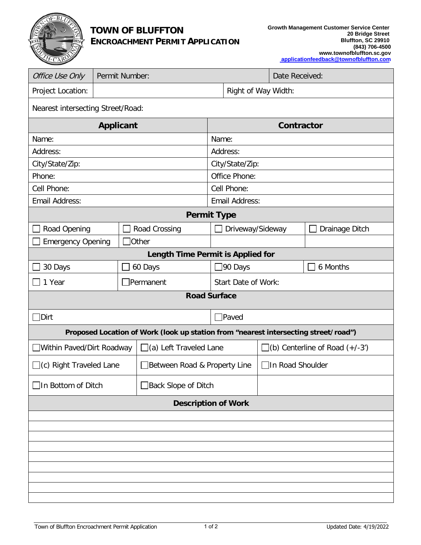

## **TOWN OF BLUFFTON ENCROACHMENT PERMIT APPLICATION**

| Office Use Only                                                                     | Permit Number:           |               |                               |                     |                       |                                         | Date Received: |                |  |
|-------------------------------------------------------------------------------------|--------------------------|---------------|-------------------------------|---------------------|-----------------------|-----------------------------------------|----------------|----------------|--|
| Project Location:                                                                   |                          |               |                               |                     | Right of Way Width:   |                                         |                |                |  |
| Nearest intersecting Street/Road:                                                   |                          |               |                               |                     |                       |                                         |                |                |  |
| <b>Applicant</b>                                                                    |                          |               |                               |                     | <b>Contractor</b>     |                                         |                |                |  |
| Name:                                                                               |                          |               |                               | Name:               |                       |                                         |                |                |  |
| Address:                                                                            |                          |               |                               | Address:            |                       |                                         |                |                |  |
| City/State/Zip:                                                                     |                          |               |                               |                     | City/State/Zip:       |                                         |                |                |  |
| Phone:                                                                              |                          |               |                               | Office Phone:       |                       |                                         |                |                |  |
| Cell Phone:                                                                         |                          |               |                               | Cell Phone:         |                       |                                         |                |                |  |
| Email Address:                                                                      |                          |               |                               |                     | <b>Email Address:</b> |                                         |                |                |  |
| <b>Permit Type</b>                                                                  |                          |               |                               |                     |                       |                                         |                |                |  |
| Road Opening                                                                        |                          | Road Crossing |                               |                     | Driveway/Sideway      |                                         |                | Drainage Ditch |  |
|                                                                                     | <b>Emergency Opening</b> |               | <b>Other</b>                  |                     |                       |                                         |                |                |  |
| Length Time Permit is Applied for                                                   |                          |               |                               |                     |                       |                                         |                |                |  |
| 30 Days                                                                             |                          |               | 60 Days                       |                     | ]90 Days              |                                         |                | 6 Months       |  |
| 1 Year                                                                              |                          |               | Permanent]                    | Start Date of Work: |                       |                                         |                |                |  |
| <b>Road Surface</b>                                                                 |                          |               |                               |                     |                       |                                         |                |                |  |
| $\Box$ Dirt                                                                         |                          |               |                               | <b>Paved</b>        |                       |                                         |                |                |  |
| Proposed Location of Work (look up station from "nearest intersecting street/road") |                          |               |                               |                     |                       |                                         |                |                |  |
| □ Within Paved/Dirt Roadway                                                         |                          |               | $\Box$ (a) Left Traveled Lane |                     |                       | $\Box$ (b) Centerline of Road $(+/-3')$ |                |                |  |
| $\Box$ (c) Right Traveled Lane                                                      |                          |               | □Between Road & Property Line |                     |                       | □In Road Shoulder                       |                |                |  |
| □In Bottom of Ditch                                                                 |                          |               | Back Slope of Ditch           |                     |                       |                                         |                |                |  |
| <b>Description of Work</b>                                                          |                          |               |                               |                     |                       |                                         |                |                |  |
|                                                                                     |                          |               |                               |                     |                       |                                         |                |                |  |
|                                                                                     |                          |               |                               |                     |                       |                                         |                |                |  |
|                                                                                     |                          |               |                               |                     |                       |                                         |                |                |  |
|                                                                                     |                          |               |                               |                     |                       |                                         |                |                |  |
|                                                                                     |                          |               |                               |                     |                       |                                         |                |                |  |
|                                                                                     |                          |               |                               |                     |                       |                                         |                |                |  |
|                                                                                     |                          |               |                               |                     |                       |                                         |                |                |  |